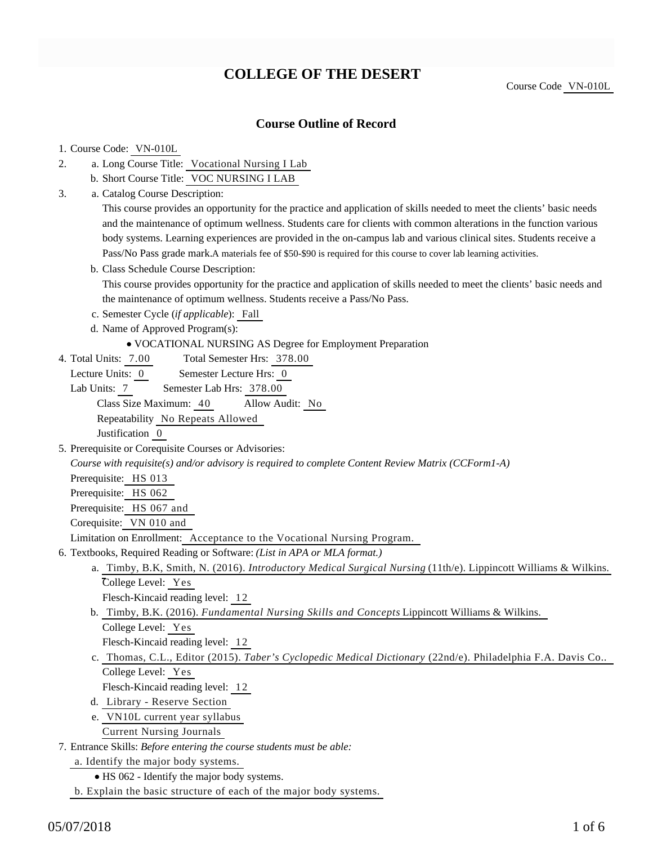# **COLLEGE OF THE DESERT**

Course Code VN-010L

### **Course Outline of Record**

### 1. Course Code: VN-010L

- a. Long Course Title: Vocational Nursing I Lab 2.
	- b. Short Course Title: VOC NURSING I LAB
- Catalog Course Description: a. 3.

This course provides an opportunity for the practice and application of skills needed to meet the clients' basic needs and the maintenance of optimum wellness. Students care for clients with common alterations in the function various body systems. Learning experiences are provided in the on-campus lab and various clinical sites. Students receive a Pass/No Pass grade mark. A materials fee of \$50-\$90 is required for this course to cover lab learning activities.

b. Class Schedule Course Description:

This course provides opportunity for the practice and application of skills needed to meet the clients' basic needs and the maintenance of optimum wellness. Students receive a Pass/No Pass.

- c. Semester Cycle (*if applicable*): Fall
- d. Name of Approved Program(s):
	- VOCATIONAL NURSING AS Degree for Employment Preparation
- Total Semester Hrs: 378.00 4. Total Units: 7.00
- Lecture Units: 0 Semester Lecture Hrs: 0
- Lab Units: 7 Semester Lab Hrs: 378.00 Class Size Maximum: 40 Allow Audit: No Repeatability No Repeats Allowed

Justification 0

5. Prerequisite or Corequisite Courses or Advisories:

*Course with requisite(s) and/or advisory is required to complete Content Review Matrix (CCForm1-A)*

Prerequisite: HS 013

Prerequisite: HS 062

Prerequisite: HS 067 and

Corequisite: VN 010 and

Limitation on Enrollment: Acceptance to the Vocational Nursing Program.

- 6. Textbooks, Required Reading or Software: (List in APA or MLA format.)
	- a. Timby, B.K, Smith, N. (2016). *Introductory Medical Surgical Nursing* (11th/e). Lippincott Williams & Wilkins. College Level: Yes

Flesch-Kincaid reading level: 12

b. Timby, B.K. (2016). *Fundamental Nursing Skills and Concepts* Lippincott Williams & Wilkins. College Level: Yes

Flesch-Kincaid reading level: 12

c. Thomas, C.L., Editor (2015). *Taber's Cyclopedic Medical Dictionary* (22nd/e). Philadelphia F.A. Davis Co.. College Level: Yes

Flesch-Kincaid reading level: 12

- d. Library Reserve Section
- e. VN10L current year syllabus Current Nursing Journals

Entrance Skills: *Before entering the course students must be able:* 7.

a. Identify the major body systems.

• HS 062 - Identify the major body systems.

b. Explain the basic structure of each of the major body systems.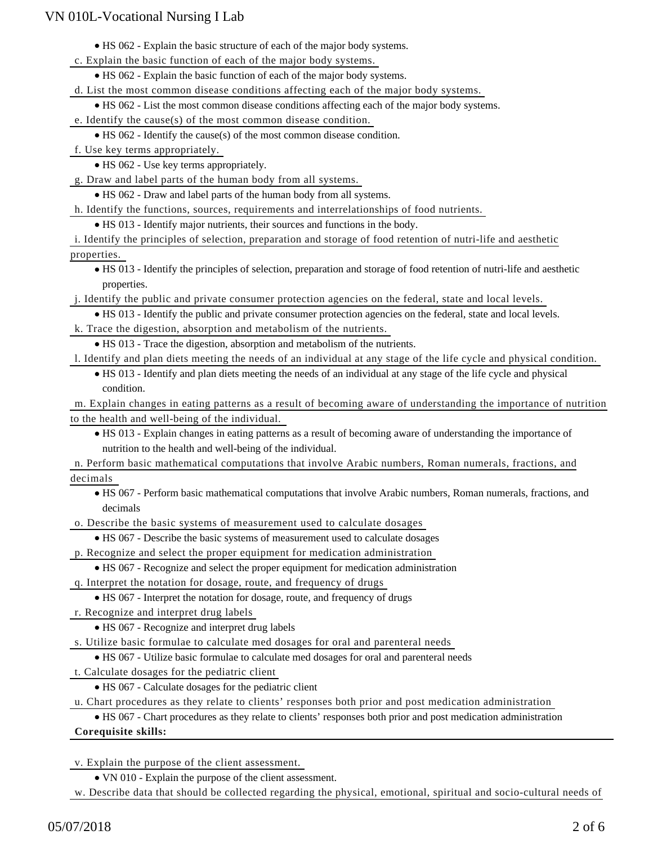HS 062 - Explain the basic structure of each of the major body systems.

c. Explain the basic function of each of the major body systems.

HS 062 - Explain the basic function of each of the major body systems.

d. List the most common disease conditions affecting each of the major body systems.

HS 062 - List the most common disease conditions affecting each of the major body systems.

e. Identify the cause(s) of the most common disease condition.

HS 062 - Identify the cause(s) of the most common disease condition.

f. Use key terms appropriately.

• HS 062 - Use key terms appropriately.

g. Draw and label parts of the human body from all systems.

HS 062 - Draw and label parts of the human body from all systems.

h. Identify the functions, sources, requirements and interrelationships of food nutrients.

HS 013 - Identify major nutrients, their sources and functions in the body.

i. Identify the principles of selection, preparation and storage of food retention of nutri-life and aesthetic properties.

HS 013 - Identify the principles of selection, preparation and storage of food retention of nutri-life and aesthetic properties.

j. Identify the public and private consumer protection agencies on the federal, state and local levels.

HS 013 - Identify the public and private consumer protection agencies on the federal, state and local levels.

k. Trace the digestion, absorption and metabolism of the nutrients.

HS 013 - Trace the digestion, absorption and metabolism of the nutrients.

l. Identify and plan diets meeting the needs of an individual at any stage of the life cycle and physical condition.

HS 013 - Identify and plan diets meeting the needs of an individual at any stage of the life cycle and physical condition.

m. Explain changes in eating patterns as a result of becoming aware of understanding the importance of nutrition to the health and well-being of the individual.

HS 013 - Explain changes in eating patterns as a result of becoming aware of understanding the importance of nutrition to the health and well-being of the individual.

n. Perform basic mathematical computations that involve Arabic numbers, Roman numerals, fractions, and decimals

HS 067 - Perform basic mathematical computations that involve Arabic numbers, Roman numerals, fractions, and decimals

o. Describe the basic systems of measurement used to calculate dosages

HS 067 - Describe the basic systems of measurement used to calculate dosages

p. Recognize and select the proper equipment for medication administration

HS 067 - Recognize and select the proper equipment for medication administration

q. Interpret the notation for dosage, route, and frequency of drugs

HS 067 - Interpret the notation for dosage, route, and frequency of drugs

r. Recognize and interpret drug labels

HS 067 - Recognize and interpret drug labels

s. Utilize basic formulae to calculate med dosages for oral and parenteral needs

HS 067 - Utilize basic formulae to calculate med dosages for oral and parenteral needs

t. Calculate dosages for the pediatric client

HS 067 - Calculate dosages for the pediatric client

u. Chart procedures as they relate to clients' responses both prior and post medication administration

HS 067 - Chart procedures as they relate to clients' responses both prior and post medication administration

### **Corequisite skills:**

v. Explain the purpose of the client assessment.

VN 010 - Explain the purpose of the client assessment.

w. Describe data that should be collected regarding the physical, emotional, spiritual and socio-cultural needs of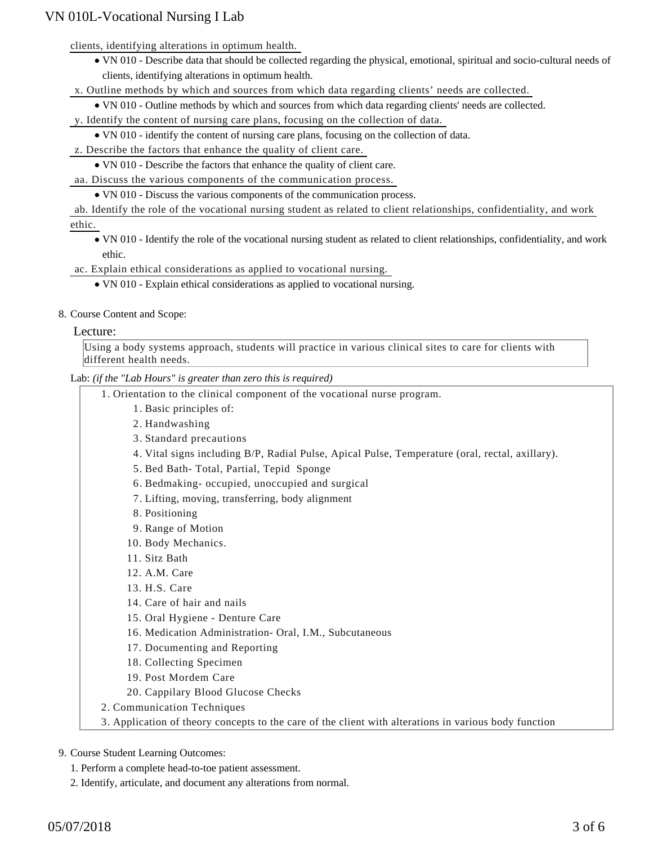clients, identifying alterations in optimum health.

VN 010 - Describe data that should be collected regarding the physical, emotional, spiritual and socio-cultural needs of clients, identifying alterations in optimum health.

x. Outline methods by which and sources from which data regarding clients' needs are collected.

VN 010 - Outline methods by which and sources from which data regarding clients' needs are collected.

y. Identify the content of nursing care plans, focusing on the collection of data.

VN 010 - identify the content of nursing care plans, focusing on the collection of data.

z. Describe the factors that enhance the quality of client care.

VN 010 - Describe the factors that enhance the quality of client care.

aa. Discuss the various components of the communication process.

VN 010 - Discuss the various components of the communication process.

ab. Identify the role of the vocational nursing student as related to client relationships, confidentiality, and work ethic.

VN 010 - Identify the role of the vocational nursing student as related to client relationships, confidentiality, and work ethic.

ac. Explain ethical considerations as applied to vocational nursing.

- VN 010 Explain ethical considerations as applied to vocational nursing.
- 8. Course Content and Scope:

### Lecture:

Using a body systems approach, students will practice in various clinical sites to care for clients with different health needs.

Lab: *(if the "Lab Hours" is greater than zero this is required)*

- 1. Orientation to the clinical component of the vocational nurse program.
	- 1. Basic principles of:
	- 2. Handwashing
	- 3. Standard precautions
	- 4. Vital signs including B/P, Radial Pulse, Apical Pulse, Temperature (oral, rectal, axillary).
	- 5. Bed Bath- Total, Partial, Tepid Sponge
	- 6. Bedmaking- occupied, unoccupied and surgical
	- 7. Lifting, moving, transferring, body alignment
	- 8. Positioning
	- 9. Range of Motion
	- 10. Body Mechanics.
	- 11. Sitz Bath
	- 12. A.M. Care
	- 13. H.S. Care
	- 14. Care of hair and nails
	- 15. Oral Hygiene Denture Care
	- 16. Medication Administration- Oral, I.M., Subcutaneous
	- 17. Documenting and Reporting
	- 18. Collecting Specimen
	- 19. Post Mordem Care
	- 20. Cappilary Blood Glucose Checks
- 2. Communication Techniques
- 3. Application of theory concepts to the care of the client with alterations in various body function

### 9. Course Student Learning Outcomes:

- 1. Perform a complete head-to-toe patient assessment.
- 2. Identify, articulate, and document any alterations from normal.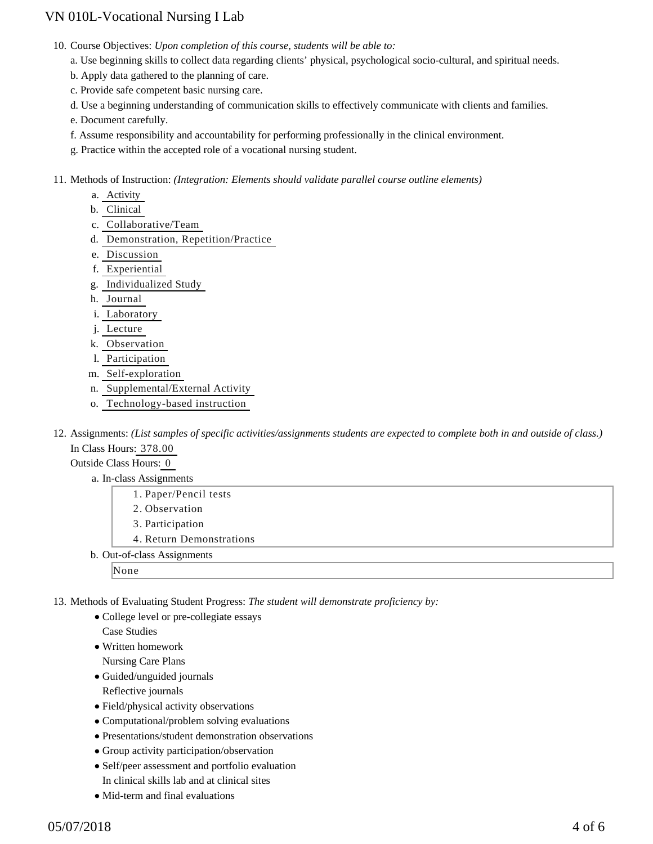10. Course Objectives: Upon completion of this course, students will be able to:

a. Use beginning skills to collect data regarding clients' physical, psychological socio-cultural, and spiritual needs.

- b. Apply data gathered to the planning of care.
- c. Provide safe competent basic nursing care.
- d. Use a beginning understanding of communication skills to effectively communicate with clients and families.

e. Document carefully.

- f. Assume responsibility and accountability for performing professionally in the clinical environment.
- g. Practice within the accepted role of a vocational nursing student.

11. Methods of Instruction: *(Integration: Elements should validate parallel course outline elements)* 

- a. Activity
- b. Clinical
- c. Collaborative/Team
- d. Demonstration, Repetition/Practice
- e. Discussion
- f. Experiential
- g. Individualized Study
- h. Journal
- i. Laboratory
- j. Lecture
- k. Observation
- l. Participation
- m. Self-exploration
- n. Supplemental/External Activity
- o. Technology-based instruction
- 12. Assignments: (List samples of specific activities/assignments students are expected to complete both in and outside of class.) In Class Hours: 378.00

#### Outside Class Hours: 0

- a. In-class Assignments
	- 1. Paper/Pencil tests
	- 2. Observation
	- 3. Participation
	- 4. Return Demonstrations
- b. Out-of-class Assignments
	- None

13. Methods of Evaluating Student Progress: The student will demonstrate proficiency by:

• College level or pre-collegiate essays

Case Studies

Written homework

Nursing Care Plans

- Guided/unguided journals Reflective journals
- Field/physical activity observations
- Computational/problem solving evaluations
- Presentations/student demonstration observations
- Group activity participation/observation
- Self/peer assessment and portfolio evaluation
- In clinical skills lab and at clinical sites
- Mid-term and final evaluations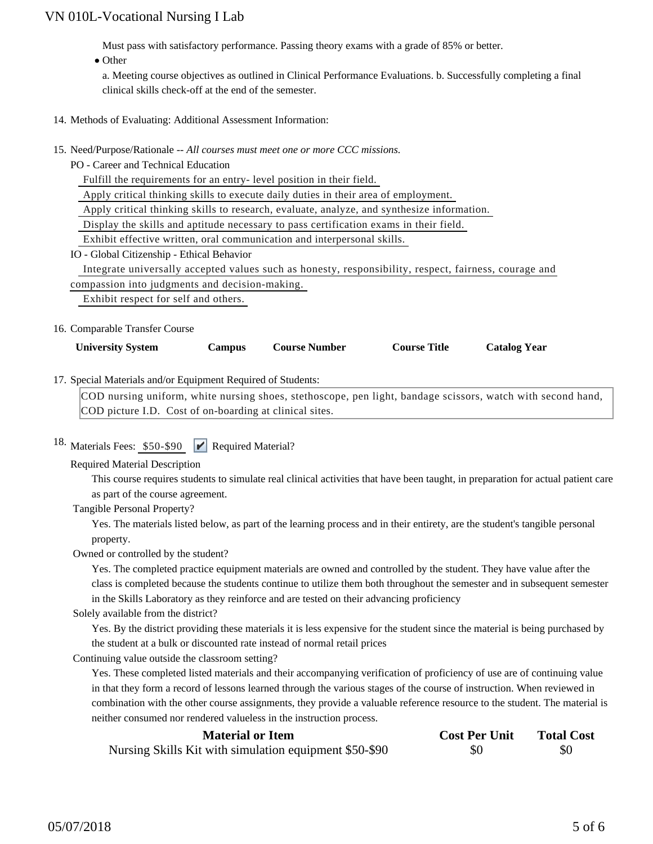Must pass with satisfactory performance. Passing theory exams with a grade of 85% or better.

• Other

a. Meeting course objectives as outlined in Clinical Performance Evaluations. b. Successfully completing a final clinical skills check-off at the end of the semester.

- 14. Methods of Evaluating: Additional Assessment Information:
- 15. Need/Purpose/Rationale -- All courses must meet one or more CCC missions.
	- PO Career and Technical Education

Fulfill the requirements for an entry- level position in their field.

Apply critical thinking skills to execute daily duties in their area of employment.

Apply critical thinking skills to research, evaluate, analyze, and synthesize information.

Display the skills and aptitude necessary to pass certification exams in their field.

Exhibit effective written, oral communication and interpersonal skills.

IO - Global Citizenship - Ethical Behavior

 Integrate universally accepted values such as honesty, responsibility, respect, fairness, courage and compassion into judgments and decision-making.

Exhibit respect for self and others.

#### 16. Comparable Transfer Course

| <b>University System</b> | Campus | <b>Course Number</b> | <b>Course Title</b> | <b>Catalog Year</b> |
|--------------------------|--------|----------------------|---------------------|---------------------|
|--------------------------|--------|----------------------|---------------------|---------------------|

#### 17. Special Materials and/or Equipment Required of Students:

COD nursing uniform, white nursing shoes, stethoscope, pen light, bandage scissors, watch with second hand, COD picture I.D. Cost of on-boarding at clinical sites.

# 18. Materials Fees: \$50-\$90 <br> **P** Required Material?

Required Material Description

This course requires students to simulate real clinical activities that have been taught, in preparation for actual patient care as part of the course agreement.

Tangible Personal Property?

Yes. The materials listed below, as part of the learning process and in their entirety, are the student's tangible personal property.

Owned or controlled by the student?

Yes. The completed practice equipment materials are owned and controlled by the student. They have value after the class is completed because the students continue to utilize them both throughout the semester and in subsequent semester in the Skills Laboratory as they reinforce and are tested on their advancing proficiency

#### Solely available from the district?

Yes. By the district providing these materials it is less expensive for the student since the material is being purchased by the student at a bulk or discounted rate instead of normal retail prices

Continuing value outside the classroom setting?

Yes. These completed listed materials and their accompanying verification of proficiency of use are of continuing value in that they form a record of lessons learned through the various stages of the course of instruction. When reviewed in combination with the other course assignments, they provide a valuable reference resource to the student. The material is neither consumed nor rendered valueless in the instruction process.

| <b>Material or Item</b>                                | <b>Cost Per Unit</b> | <b>Total Cost</b> |
|--------------------------------------------------------|----------------------|-------------------|
| Nursing Skills Kit with simulation equipment \$50-\$90 | \$0                  | \$0               |